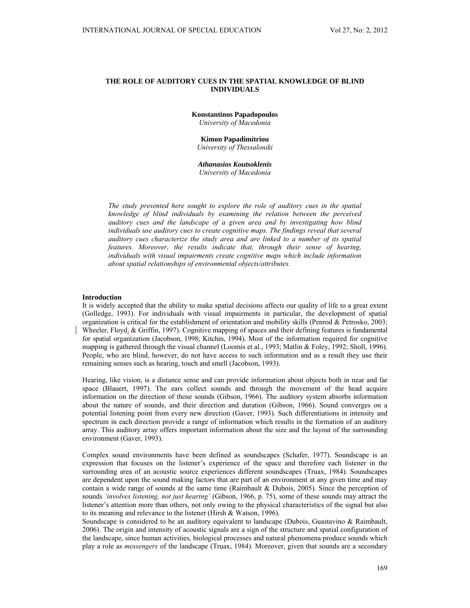# **THE ROLE OF AUDITORY CUES IN THE SPATIAL KNOWLEDGE OF BLIND INDIVIDUALS**

**Konstantinos Papadopoulos**  *University of Macedonia* 

**Kimon Papadimitriou**  *University of Thessaloniki* 

*Athanasios Koutsoklenis University of Macedonia* 

*The study presented here sought to explore the role of auditory cues in the spatial knowledge of blind individuals by examining the relation between the perceived auditory cues and the landscape of a given area and by investigating how blind individuals use auditory cues to create cognitive maps. The findings reveal that several auditory cues characterize the study area and are linked to a number of its spatial features. Moreover, the results indicate that, through their sense of hearing, individuals with visual impairments create cognitive maps which include information about spatial relationships of environmental objects/attributes.* 

## **Introduction**

It is widely accepted that the ability to make spatial decisions affects our quality of life to a great extent (Golledge, 1993). For individuals with visual impairments in particular, the development of spatial organization is critical for the establishment of orientation and mobility skills (Penrod & Petrosko, 2003; Wheeler, Floyd, & Griffin, 1997). Cognitive mapping of spaces and their defining features is fundamental for spatial organization (Jacobson, 1998; Kitchin, 1994). Most of the information required for cognitive mapping is gathered through the visual channel (Loomis et al., 1993; Matlin & Foley, 1992; Sholl, 1996). People, who are blind, however, do not have access to such information and as a result they use their remaining senses such as hearing, touch and smell (Jacobson, 1993).

Hearing, like vision, is a distance sense and can provide information about objects both in near and far space (Blauert, 1997). The ears collect sounds and through the movement of the head acquire information on the direction of those sounds (Gibson, 1966). The auditory system absorbs information about the nature of sounds, and their direction and duration (Gibson, 1966). Sound converges on a potential listening point from every new direction (Gaver, 1993). Such differentiations in intensity and spectrum in each direction provide a range of information which results in the formation of an auditory array. This auditory array offers important information about the size and the layout of the surrounding environment (Gaver, 1993).

Complex sound environments have been defined as soundscapes (Schafer, 1977). Soundscape is an expression that focuses on the listener's experience of the space and therefore each listener in the surrounding area of an acoustic source experiences different soundscapes (Truax, 1984). Soundscapes are dependent upon the sound making factors that are part of an environment at any given time and may contain a wide range of sounds at the same time (Raimbault & Dubois, 2005). Since the perception of sounds *'involves listening, not just hearing'* (Gibson, 1966, p. 75), some of these sounds may attract the listener's attention more than others, not only owing to the physical characteristics of the signal but also to its meaning and relevance to the listener (Hirsh & Watson, 1996).

Soundscape is considered to be an auditory equivalent to landscape (Dubois, Guastavino & Raimbault, 2006). The origin and intensity of acoustic signals are a sign of the structure and spatial configuration of the landscape, since human activities, biological processes and natural phenomena produce sounds which play a role as *messengers* of the landscape (Truax, 1984). Moreover, given that sounds are a secondary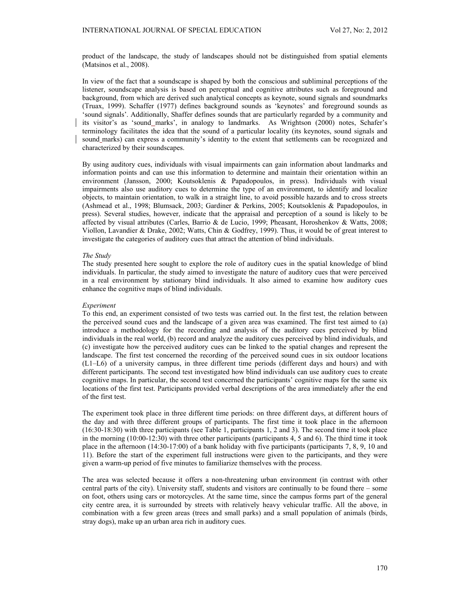product of the landscape, the study of landscapes should not be distinguished from spatial elements (Matsinos et al., 2008).

In view of the fact that a soundscape is shaped by both the conscious and subliminal perceptions of the listener, soundscape analysis is based on perceptual and cognitive attributes such as foreground and background, from which are derived such analytical concepts as keynote, sound signals and soundmarks (Truax, 1999). Schaffer (1977) defines background sounds as 'keynotes' and foreground sounds as 'sound signals'. Additionally, Shaffer defines sounds that are particularly regarded by a community and its visitor's as 'sound\_marks', in analogy to landmarks. As Wrightson (2000) notes, Schafer's terminology facilitates the idea that the sound of a particular locality (its keynotes, sound signals and sound marks) can express a community's identity to the extent that settlements can be recognized and characterized by their soundscapes.

By using auditory cues, individuals with visual impairments can gain information about landmarks and information points and can use this information to determine and maintain their orientation within an environment (Jansson, 2000; Koutsoklenis & Papadopoulos, in press). Individuals with visual impairments also use auditory cues to determine the type of an environment, to identify and localize objects, to maintain orientation, to walk in a straight line, to avoid possible hazards and to cross streets (Ashmead et al., 1998; Blumsack, 2003; Gardiner & Perkins, 2005; Koutsoklenis & Papadopoulos, in press). Several studies, however, indicate that the appraisal and perception of a sound is likely to be affected by visual attributes (Carles, Barrio & de Lucio, 1999; Pheasant, Horoshenkov & Watts, 2008; Viollon, Lavandier & Drake, 2002; Watts, Chin & Godfrey, 1999). Thus, it would be of great interest to investigate the categories of auditory cues that attract the attention of blind individuals.

## *The Study*

The study presented here sought to explore the role of auditory cues in the spatial knowledge of blind individuals. In particular, the study aimed to investigate the nature of auditory cues that were perceived in a real environment by stationary blind individuals. It also aimed to examine how auditory cues enhance the cognitive maps of blind individuals.

#### *Experiment*

To this end, an experiment consisted of two tests was carried out. In the first test, the relation between the perceived sound cues and the landscape of a given area was examined. The first test aimed to (a) introduce a methodology for the recording and analysis of the auditory cues perceived by blind individuals in the real world, (b) record and analyze the auditory cues perceived by blind individuals, and (c) investigate how the perceived auditory cues can be linked to the spatial changes and represent the landscape. The first test concerned the recording of the perceived sound cues in six outdoor locations (L1–L6) of a university campus, in three different time periods (different days and hours) and with different participants. The second test investigated how blind individuals can use auditory cues to create cognitive maps. In particular, the second test concerned the participants' cognitive maps for the same six locations of the first test. Participants provided verbal descriptions of the area immediately after the end of the first test.

The experiment took place in three different time periods: on three different days, at different hours of the day and with three different groups of participants. The first time it took place in the afternoon (16:30-18:30) with three participants (see Table 1, participants 1, 2 and 3). The second time it took place in the morning (10:00-12:30) with three other participants (participants 4, 5 and 6). The third time it took place in the afternoon (14:30-17:00) of a bank holiday with five participants (participants 7, 8, 9, 10 and 11). Before the start of the experiment full instructions were given to the participants, and they were given a warm-up period of five minutes to familiarize themselves with the process.

The area was selected because it offers a non-threatening urban environment (in contrast with other central parts of the city). University staff, students and visitors are continually to be found there – some on foot, others using cars or motorcycles. At the same time, since the campus forms part of the general city centre area, it is surrounded by streets with relatively heavy vehicular traffic. All the above, in combination with a few green areas (trees and small parks) and a small population of animals (birds, stray dogs), make up an urban area rich in auditory cues.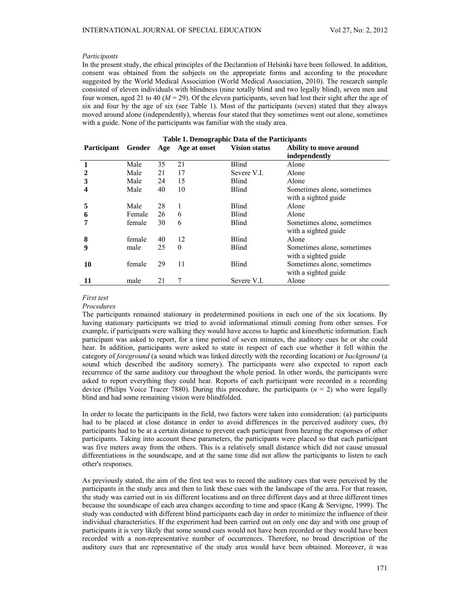### *Participants*

In the present study, the ethical principles of the Declaration of Helsinki have been followed. In addition, consent was obtained from the subjects on the appropriate forms and according to the procedure suggested by the World Medical Association (World Medical Association, 2010). The research sample consisted of eleven individuals with blindness (nine totally blind and two legally blind), seven men and four women, aged 21 to 40  $(M = 29)$ . Of the eleven participants, seven had lost their sight after the age of six and four by the age of six (see Table 1). Most of the participants (seven) stated that they always moved around alone (independently), whereas four stated that they sometimes went out alone, sometimes with a guide. None of the participants was familiar with the study area.

| Table 1. Demographic Data of the Participants |        |     |              |                      |                            |  |  |  |  |
|-----------------------------------------------|--------|-----|--------------|----------------------|----------------------------|--|--|--|--|
| <b>Participant</b>                            | Gender | Age | Age at onset | <b>Vision status</b> | Ability to move around     |  |  |  |  |
|                                               |        |     |              |                      | independently              |  |  |  |  |
| 1                                             | Male   | 35  | 21           | Blind                | Alone                      |  |  |  |  |
| $\mathbf{2}$                                  | Male   | 21  | 17           | Severe V.I.          | Alone                      |  |  |  |  |
| 3                                             | Male   | 24  | 15           | Blind                | Alone                      |  |  |  |  |
| 4                                             | Male   | 40  | 10           | Blind                | Sometimes alone, sometimes |  |  |  |  |
|                                               |        |     |              |                      | with a sighted guide       |  |  |  |  |
| 5                                             | Male   | 28  | 1            | <b>Blind</b>         | Alone                      |  |  |  |  |
| 6                                             | Female | 26  | 6            | <b>Blind</b>         | Alone                      |  |  |  |  |
|                                               | female | 30  | 6            | Blind                | Sometimes alone, sometimes |  |  |  |  |
|                                               |        |     |              |                      | with a sighted guide       |  |  |  |  |
| 8                                             | female | 40  | 12           | <b>Blind</b>         | Alone                      |  |  |  |  |
| 9                                             | male   | 25  | $\Omega$     | Blind                | Sometimes alone, sometimes |  |  |  |  |
|                                               |        |     |              |                      | with a sighted guide.      |  |  |  |  |
| 10                                            | female | 29  | 11           | Blind                | Sometimes alone, sometimes |  |  |  |  |
|                                               |        |     |              |                      | with a sighted guide.      |  |  |  |  |
| 11                                            | male   | 21  |              | Severe V.I.          | Alone                      |  |  |  |  |

#### *First test*

#### *Procedures*

The participants remained stationary in predetermined positions in each one of the six locations. By having stationary participants we tried to avoid informational stimuli coming from other senses. For example, if participants were walking they would have access to haptic and kinesthetic information. Each participant was asked to report, for a time period of seven minutes, the auditory cues he or she could hear. In addition, participants were asked to state in respect of each cue whether it fell within the category of *foreground* (a sound which was linked directly with the recording location) or *background* (a sound which described the auditory scenery). The participants were also expected to report each recurrence of the same auditory cue throughout the whole period. In other words, the participants were asked to report everything they could hear. Reports of each participant were recorded in a recording device (Philips Voice Tracer 7880). During this procedure, the participants  $(n = 2)$  who were legally blind and had some remaining vision were blindfolded.

In order to locate the participants in the field, two factors were taken into consideration: (a) participants had to be placed at close distance in order to avoid differences in the perceived auditory cues, (b) participants had to be at a certain distance to prevent each participant from hearing the responses of other participants. Taking into account these parameters, the participants were placed so that each participant was five meters away from the others. This is a relatively small distance which did not cause unusual differentiations in the soundscape, and at the same time did not allow the participants to listen to each other's responses.

As previously stated, the aim of the first test was to record the auditory cues that were perceived by the participants in the study area and then to link these cues with the landscape of the area. For that reason, the study was carried out in six different locations and on three different days and at three different times because the soundscape of each area changes according to time and space (Kang & Servigne, 1999). The study was conducted with different blind participants each day in order to minimize the influence of their individual characteristics. If the experiment had been carried out on only one day and with one group of participants it is very likely that some sound cues would not have been recorded or they would have been recorded with a non-representative number of occurrences. Therefore, no broad description of the auditory cues that are representative of the study area would have been obtained. Moreover, it was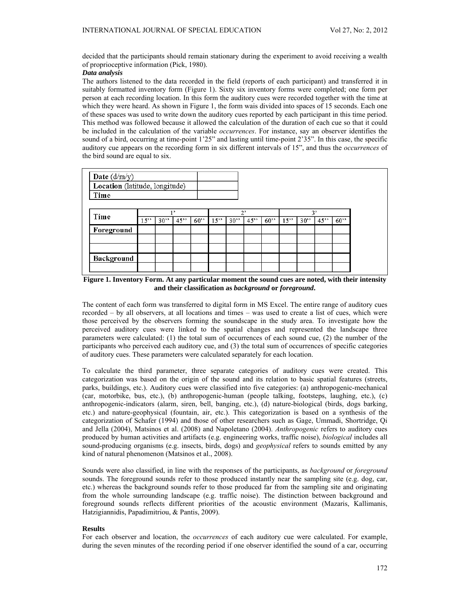decided that the participants should remain stationary during the experiment to avoid receiving a wealth of proprioceptive information (Pick, 1980).

## *Data analysis*

The authors listened to the data recorded in the field (reports of each participant) and transferred it in suitably formatted inventory form (Figure 1). Sixty six inventory forms were completed; one form per person at each recording location. In this form the auditory cues were recorded together with the time at which they were heard. As shown in Figure 1, the form wais divided into spaces of 15 seconds. Each one of these spaces was used to write down the auditory cues reported by each participant in this time period. This method was followed because it allowed the calculation of the duration of each cue so that it could be included in the calculation of the variable *occurrences*. For instance, say an observer identifies the sound of a bird, occurring at time-point 1'25" and lasting until time-point 2'35". In this case, the specific auditory cue appears on the recording form in six different intervals of 15", and thus the *occurrences* of the bird sound are equal to six.



**Figure 1. Inventory Form. At any particular moment the sound cues are noted, with their intensity and their classification as** *background* **or** *foreground***.** 

The content of each form was transferred to digital form in MS Excel. The entire range of auditory cues recorded – by all observers, at all locations and times – was used to create a list of cues, which were those perceived by the observers forming the soundscape in the study area. To investigate how the perceived auditory cues were linked to the spatial changes and represented the landscape three parameters were calculated: (1) the total sum of occurrences of each sound cue, (2) the number of the participants who perceived each auditory cue, and (3) the total sum of occurrences of specific categories of auditory cues. These parameters were calculated separately for each location.

To calculate the third parameter, three separate categories of auditory cues were created. This categorization was based on the origin of the sound and its relation to basic spatial features (streets, parks, buildings, etc.). Auditory cues were classified into five categories: (a) anthropogenic-mechanical (car, motorbike, bus, etc.), (b) anthropogenic-human (people talking, footsteps, laughing, etc.), (c) anthropogenic-indicators (alarm, siren, bell, banging, etc.), (d) nature-biological (birds, dogs barking, etc.) and nature-geophysical (fountain, air, etc.). This categorization is based on a synthesis of the categorization of Schafer (1994) and those of other researchers such as Gage, Ummadi, Shortridge, Qi and Jella (2004), Matsinos et al. (2008) and Napoletano (2004). *Anthropogenic* refers to auditory cues produced by human activities and artifacts (e.g. engineering works, traffic noise), *biological* includes all sound-producing organisms (e.g. insects, birds, dogs) and *geophysical* refers to sounds emitted by any kind of natural phenomenon (Matsinos et al., 2008).

Sounds were also classified, in line with the responses of the participants, as *background* or *foreground*  sounds. The foreground sounds refer to those produced instantly near the sampling site (e.g. dog, car, etc.) whereas the background sounds refer to those produced far from the sampling site and originating from the whole surrounding landscape (e.g. traffic noise). The distinction between background and foreground sounds reflects different priorities of the acoustic environment (Mazaris, Kallimanis, Hatzigiannidis, Papadimitriou, & Pantis, 2009).

### **Results**

For each observer and location, the *occurrences* of each auditory cue were calculated. For example, during the seven minutes of the recording period if one observer identified the sound of a car, occurring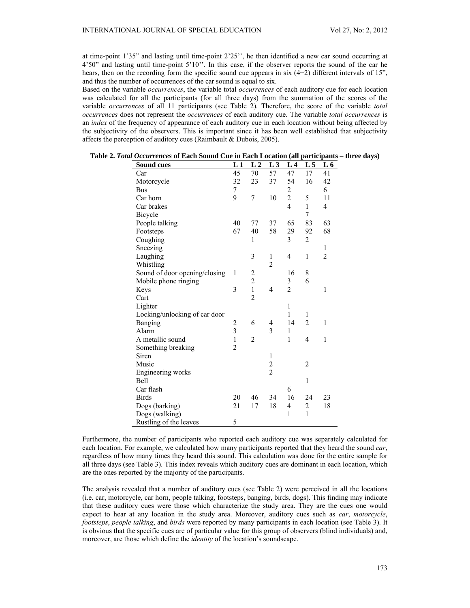at time-point 1'35" and lasting until time-point 2'25'', he then identified a new car sound occurring at 4'50" and lasting until time-point 5'10''. In this case, if the observer reports the sound of the car he hears, then on the recording form the specific sound cue appears in six  $(4+2)$  different intervals of 15". and thus the number of occurrences of the car sound is equal to six.

Based on the variable *occurrences*, the variable total *occurrences* of each auditory cue for each location was calculated for all the participants (for all three days) from the summation of the scores of the variable *occurrences* of all 11 participants (see Table 2). Therefore, the score of the variable *total occurrences* does not represent the *occurrences* of each auditory cue. The variable *total occurrences* is an *index* of the frequency of appearance of each auditory cue in each location without being affected by the subjectivity of the observers. This is important since it has been well established that subjectivity affects the perception of auditory cues (Raimbault & Dubois, 2005).

| <b>Sound cues</b>             | L1             | L <sub>2</sub>          | L3             | L <sub>4</sub>          | L <sub>5</sub> | L 6            |
|-------------------------------|----------------|-------------------------|----------------|-------------------------|----------------|----------------|
| Car                           | 45             | 70                      | 57             | 47                      | 17             | 41             |
| Motorcycle                    | 32             | 23                      | 37             | 54                      | 16             | 42             |
| <b>Bus</b>                    | 7              |                         |                | $\overline{c}$          |                | 6              |
| Car horn                      | 9              | 7                       | 10             | $\overline{c}$          | 5              | 11             |
| Car brakes                    |                |                         |                | $\overline{\mathbf{4}}$ | $\mathbf{1}$   | $\overline{4}$ |
| Bicycle                       |                |                         |                |                         | 7              |                |
| People talking                | 40             | 77                      | 37             | 65                      | 83             | 63             |
| Footsteps                     | 67             | 40                      | 58             | 29                      | 92             | 68             |
| Coughing                      |                | 1                       |                | 3                       | $\overline{2}$ |                |
| Sneezing                      |                |                         |                |                         |                | 1              |
| Laughing                      |                | 3                       | $\mathbf{1}$   | 4                       | $\mathbf{1}$   | $\overline{2}$ |
| Whistling                     |                |                         | 2              |                         |                |                |
| Sound of door opening/closing | 1              | $\overline{\mathbf{c}}$ |                | 16                      | 8              |                |
| Mobile phone ringing          |                | $\overline{c}$          |                | 3                       | 6              |                |
| Keys                          | 3              | $\mathbf{1}$            | $\overline{4}$ | $\overline{2}$          |                | 1              |
| Cart                          |                | $\overline{2}$          |                |                         |                |                |
| Lighter                       |                |                         |                | $\mathbf{1}$            |                |                |
| Locking/unlocking of car door |                |                         |                | 1                       | 1              |                |
| Banging                       | 2              | 6                       | 4              | 14                      | $\overline{2}$ | 1              |
| Alarm                         | $\overline{3}$ |                         | 3              | $\mathbf{1}$            |                |                |
| A metallic sound              | $\mathbf{1}$   | $\overline{c}$          |                | $\mathbf{1}$            | $\overline{4}$ | $\mathbf{1}$   |
| Something breaking            | $\overline{2}$ |                         |                |                         |                |                |
| Siren                         |                |                         | 1              |                         |                |                |
| Music                         |                |                         | $\frac{2}{2}$  |                         | $\overline{2}$ |                |
| Engineering works             |                |                         |                |                         |                |                |
| <b>Bell</b>                   |                |                         |                |                         | $\mathbf 1$    |                |
| Car flash                     |                |                         |                | 6                       |                |                |
| <b>Birds</b>                  | 20             | 46                      | 34             | 16                      | 24             | 23             |
| Dogs (barking)                | 21             | 17                      | 18             | 4                       | $\overline{c}$ | 18             |
| Dogs (walking)                |                |                         |                | $\mathbf{1}$            | $\mathbf{1}$   |                |
| Rustling of the leaves        | 5              |                         |                |                         |                |                |

| Table 2. Total Occurrences of Each Sound Cue in Each Location (all participants - three days) |  |  |
|-----------------------------------------------------------------------------------------------|--|--|
|-----------------------------------------------------------------------------------------------|--|--|

Furthermore, the number of participants who reported each auditory cue was separately calculated for each location. For example, we calculated how many participants reported that they heard the sound *car*, regardless of how many times they heard this sound. This calculation was done for the entire sample for all three days (see Table 3). This index reveals which auditory cues are dominant in each location, which are the ones reported by the majority of the participants.

The analysis revealed that a number of auditory cues (see Table 2) were perceived in all the locations (i.e. car, motorcycle, car horn, people talking, footsteps, banging, birds, dogs). This finding may indicate that these auditory cues were those which characterize the study area. They are the cues one would expect to hear at any location in the study area. Moreover, auditory cues such as *car*, *motorcycle*, *footsteps*, *people talking*, and *birds* were reported by many participants in each location (see Table 3). It is obvious that the specific cues are of particular value for this group of observers (blind individuals) and, moreover, are those which define the *identity* of the location's soundscape.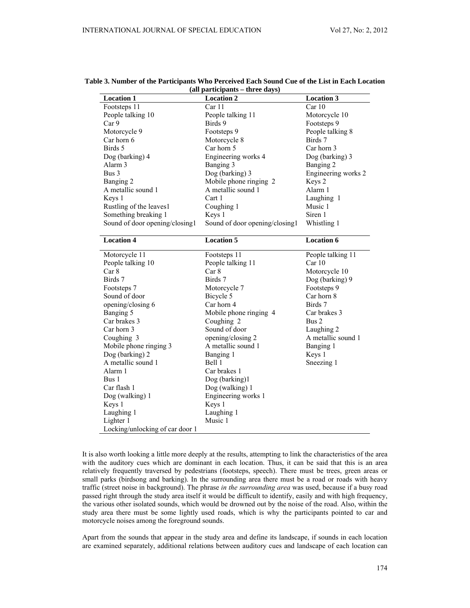| <b>Location 1</b>              | <b>Location 2</b>              | <b>Location 3</b>   |
|--------------------------------|--------------------------------|---------------------|
| Footsteps 11                   | Car11                          | Car10               |
| People talking 10              | People talking 11              | Motorcycle 10       |
| Car 9                          | Birds 9                        | Footsteps 9         |
| Motorcycle 9                   | Footsteps 9                    | People talking 8    |
| Car horn 6                     | Motorcycle 8                   | Birds 7             |
| Birds 5                        | Car horn 5                     | Car horn 3          |
| Dog (barking) 4                | Engineering works 4            | Dog (barking) 3     |
| Alarm <sub>3</sub>             | Banging 3                      | Banging 2           |
| Bus 3                          | Dog (barking) 3                | Engineering works 2 |
| Banging 2                      | Mobile phone ringing 2         | Keys 2              |
| A metallic sound 1             | A metallic sound 1             | Alarm 1             |
| Keys 1                         | Cart 1                         | Laughing 1          |
| Rustling of the leaves1        | Coughing 1                     | Music 1             |
| Something breaking 1           | Keys 1                         | Siren 1             |
| Sound of door opening/closing1 | Sound of door opening/closing1 | Whistling 1         |
| <b>Location 4</b>              | <b>Location 5</b>              | <b>Location 6</b>   |
| Motorcycle 11                  | Footsteps 11                   | People talking 11   |
| People talking 10              | People talking 11              | Car10               |
| Car 8                          | Car 8                          | Motorcycle 10       |
| Birds 7                        | Birds 7                        | Dog (barking) 9     |
| Footsteps 7                    | Motorcycle 7                   | Footsteps 9         |
| Sound of door                  | Bicycle 5                      | Car horn 8          |
| opening/closing 6              | Car horn 4                     | Birds 7             |
| Banging 5                      | Mobile phone ringing 4         | Car brakes 3        |
| Car brakes 3                   | Coughing 2                     | Bus 2               |
| Car horn 3                     | Sound of door                  | Laughing 2          |
| Coughing 3                     | opening/closing 2              | A metallic sound 1  |
| Mobile phone ringing 3         | A metallic sound 1             | Banging 1           |
| Dog (barking) 2                | Banging 1                      | Keys 1              |
| A metallic sound 1             | Bell 1                         | Sneezing 1          |
| Alarm 1                        | Car brakes 1                   |                     |
| Bus 1                          | Dog (barking)1                 |                     |
| Car flash 1                    | Dog (walking) 1                |                     |
| Dog (walking) 1                | Engineering works 1            |                     |
| Keys 1                         | Keys 1                         |                     |
| Laughing 1                     | Laughing 1                     |                     |
| Lighter 1                      | Music 1                        |                     |
|                                |                                |                     |

## **Table 3. Number of the Participants Who Perceived Each Sound Cue of the List in Each Location (all participants – three days)**

It is also worth looking a little more deeply at the results, attempting to link the characteristics of the area with the auditory cues which are dominant in each location. Thus, it can be said that this is an area relatively frequently traversed by pedestrians (footsteps, speech). There must be trees, green areas or small parks (birdsong and barking). In the surrounding area there must be a road or roads with heavy traffic (street noise in background). The phrase *in the surrounding area* was used, because if a busy road passed right through the study area itself it would be difficult to identify, easily and with high frequency, the various other isolated sounds, which would be drowned out by the noise of the road. Also, within the study area there must be some lightly used roads, which is why the participants pointed to car and motorcycle noises among the foreground sounds.

Apart from the sounds that appear in the study area and define its landscape, if sounds in each location are examined separately, additional relations between auditory cues and landscape of each location can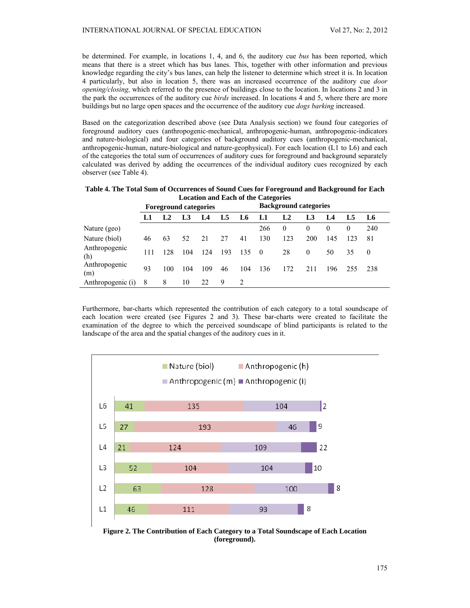be determined. For example, in locations 1, 4, and 6, the auditory cue *bus* has been reported, which means that there is a street which has bus lanes. This, together with other information and previous knowledge regarding the city's bus lanes, can help the listener to determine which street it is. In location 4 particularly, but also in location 5, there was an increased occurrence of the auditory cue *door opening/closing,* which referred to the presence of buildings close to the location. In locations 2 and 3 in the park the occurrences of the auditory cue *birds* increased. In locations 4 and 5, where there are more buildings but no large open spaces and the occurrence of the auditory cue *dogs barking* increased.

Based on the categorization described above (see Data Analysis section) we found four categories of foreground auditory cues (anthropogenic-mechanical, anthropogenic-human, anthropogenic-indicators and nature-biological) and four categories of background auditory cues (anthropogenic-mechanical, anthropogenic-human, nature-biological and nature-geophysical). For each location (L1 to L6) and each of the categories the total sum of occurrences of auditory cues for foreground and background separately calculated was derived by adding the occurrences of the individual auditory cues recognized by each observer (see Table 4).

| Location and Each of the Categories |                              |     |     |     |     |                              |     |                |          |     |          |          |
|-------------------------------------|------------------------------|-----|-----|-----|-----|------------------------------|-----|----------------|----------|-----|----------|----------|
|                                     | <b>Foreground categories</b> |     |     |     |     | <b>Background categories</b> |     |                |          |     |          |          |
|                                     | L1                           | L2  | L3  | L4  | L5  | L6                           | L1  | L <sub>2</sub> | L3       | L4  | L5       | L6       |
| Nature (geo)                        |                              |     |     |     |     |                              | 266 | $\theta$       | $\theta$ | 0   | $\theta$ | 240      |
| Nature (biol)                       | 46                           | 63  | 52  | 21  | 27  | 41                           | 130 | 123            | 200      | 145 | 123      | -81      |
| Anthropogenic<br>(h)                | 111                          | 128 | 104 | 124 | 193 | 135                          | - 0 | 28             | $\theta$ | 50  | 35       | $\theta$ |
| Anthropogenic<br>(m)                | 93                           | 100 | 104 | 109 | 46  | 104                          | 136 | 172            | 211      | 196 | 255      | -238     |
| Anthropogenic (i)                   | 8                            | 8   | 10  | 22  | 9   |                              |     |                |          |     |          |          |

**Table 4. The Total Sum of Occurrences of Sound Cues for Foreground and Background for Each Location and Each of the Categories** 

Furthermore, bar-charts which represented the contribution of each category to a total soundscape of each location were created (see Figures 2 and 3). These bar-charts were created to facilitate the examination of the degree to which the perceived soundscape of blind participants is related to the landscape of the area and the spatial changes of the auditory cues in it.



**Figure 2. The Contribution of Each Category to a Total Soundscape of Each Location (foreground).**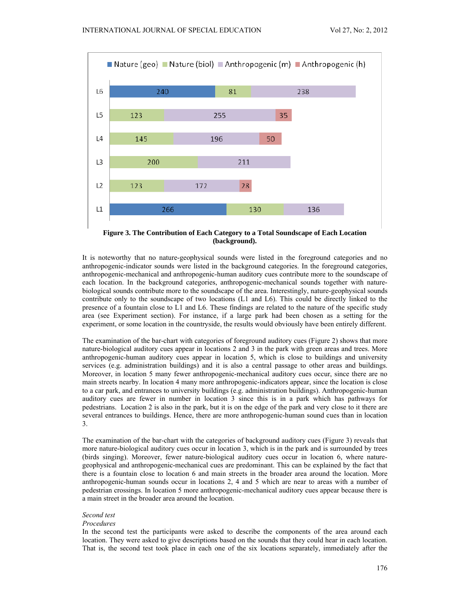

**Figure 3. The Contribution of Each Category to a Total Soundscape of Each Location (background).** 

It is noteworthy that no nature-geophysical sounds were listed in the foreground categories and no anthropogenic-indicator sounds were listed in the background categories. In the foreground categories, anthropogenic-mechanical and anthropogenic-human auditory cues contribute more to the soundscape of each location. In the background categories, anthropogenic-mechanical sounds together with naturebiological sounds contribute more to the soundscape of the area. Interestingly, nature-geophysical sounds contribute only to the soundscape of two locations (L1 and L6). This could be directly linked to the presence of a fountain close to L1 and L6. These findings are related to the nature of the specific study area (see Experiment section). For instance, if a large park had been chosen as a setting for the experiment, or some location in the countryside, the results would obviously have been entirely different.

The examination of the bar-chart with categories of foreground auditory cues (Figure 2) shows that more nature-biological auditory cues appear in locations 2 and 3 in the park with green areas and trees. More anthropogenic-human auditory cues appear in location 5, which is close to buildings and university services (e.g. administration buildings) and it is also a central passage to other areas and buildings. Moreover, in location 5 many fewer anthropogenic-mechanical auditory cues occur, since there are no main streets nearby. In location 4 many more anthropogenic-indicators appear, since the location is close to a car park, and entrances to university buildings (e.g. administration buildings). Anthropogenic-human auditory cues are fewer in number in location 3 since this is in a park which has pathways for pedestrians. Location 2 is also in the park, but it is on the edge of the park and very close to it there are several entrances to buildings. Hence, there are more anthropogenic-human sound cues than in location 3.

The examination of the bar-chart with the categories of background auditory cues (Figure 3) reveals that more nature-biological auditory cues occur in location 3, which is in the park and is surrounded by trees (birds singing). Moreover, fewer nature-biological auditory cues occur in location 6, where naturegeophysical and anthropogenic-mechanical cues are predominant. This can be explained by the fact that there is a fountain close to location 6 and main streets in the broader area around the location. More anthropogenic-human sounds occur in locations 2, 4 and 5 which are near to areas with a number of pedestrian crossings. In location 5 more anthropogenic-mechanical auditory cues appear because there is a main street in the broader area around the location.

# *Second test*

#### *Procedures*

In the second test the participants were asked to describe the components of the area around each location. They were asked to give descriptions based on the sounds that they could hear in each location. That is, the second test took place in each one of the six locations separately, immediately after the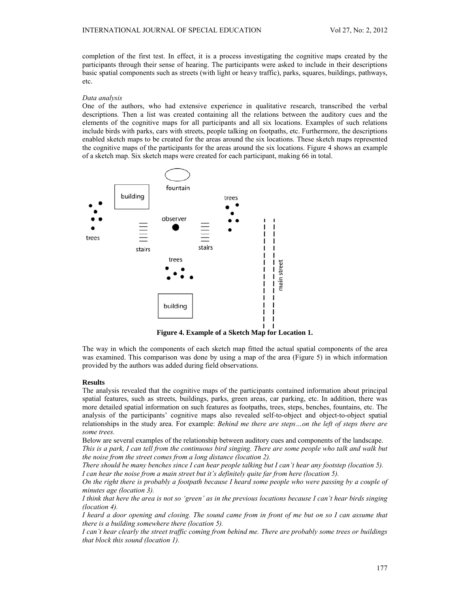completion of the first test. In effect, it is a process investigating the cognitive maps created by the participants through their sense of hearing. The participants were asked to include in their descriptions basic spatial components such as streets (with light or heavy traffic), parks, squares, buildings, pathways, etc.

#### *Data analysis*

One of the authors, who had extensive experience in qualitative research, transcribed the verbal descriptions. Then a list was created containing all the relations between the auditory cues and the elements of the cognitive maps for all participants and all six locations. Examples of such relations include birds with parks, cars with streets, people talking on footpaths, etc. Furthermore, the descriptions enabled sketch maps to be created for the areas around the six locations. These sketch maps represented the cognitive maps of the participants for the areas around the six locations. Figure 4 shows an example of a sketch map. Six sketch maps were created for each participant, making 66 in total.



**Figure 4. Example of a Sketch Map for Location 1.** 

The way in which the components of each sketch map fitted the actual spatial components of the area was examined. This comparison was done by using a map of the area (Figure 5) in which information provided by the authors was added during field observations.

### **Results**

The analysis revealed that the cognitive maps of the participants contained information about principal spatial features, such as streets, buildings, parks, green areas, car parking, etc. In addition, there was more detailed spatial information on such features as footpaths, trees, steps, benches, fountains, etc. The analysis of the participants' cognitive maps also revealed self-to-object and object-to-object spatial relationships in the study area. For example: *Behind me there are steps…on the left of steps there are some trees.* 

Below are several examples of the relationship between auditory cues and components of the landscape. *This is a park, I can tell from the continuous bird singing. There are some people who talk and walk but the noise from the street comes from a long distance (location 2).* 

*There should be many benches since I can hear people talking but I can't hear any footstep (location 5). I can hear the noise from a main street but it's definitely quite far from here (location 5).* 

*On the right there is probably a footpath because I heard some people who were passing by a couple of minutes age (location 3).* 

*I think that here the area is not so 'green' as in the previous locations because I can't hear birds singing (location 4).* 

*I heard a door opening and closing. The sound came from in front of me but on so I can assume that there is a building somewhere there (location 5).* 

*I can't hear clearly the street traffic coming from behind me. There are probably some trees or buildings that block this sound (location 1).*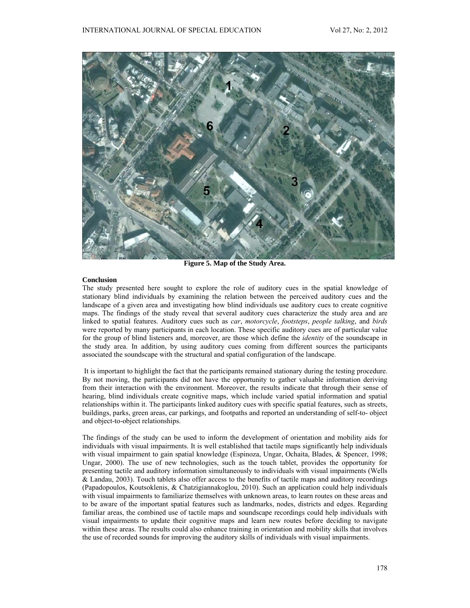

**Figure 5. Map of the Study Area.** 

# **Conclusion**

The study presented here sought to explore the role of auditory cues in the spatial knowledge of stationary blind individuals by examining the relation between the perceived auditory cues and the landscape of a given area and investigating how blind individuals use auditory cues to create cognitive maps. The findings of the study reveal that several auditory cues characterize the study area and are linked to spatial features. Auditory cues such as *car*, *motorcycle*, *footsteps*, *people talking*, and *birds* were reported by many participants in each location. These specific auditory cues are of particular value for the group of blind listeners and, moreover, are those which define the *identity* of the soundscape in the study area. In addition, by using auditory cues coming from different sources the participants associated the soundscape with the structural and spatial configuration of the landscape.

 It is important to highlight the fact that the participants remained stationary during the testing procedure. By not moving, the participants did not have the opportunity to gather valuable information deriving from their interaction with the environment. Moreover, the results indicate that through their sense of hearing, blind individuals create cognitive maps, which include varied spatial information and spatial relationships within it. The participants linked auditory cues with specific spatial features, such as streets, buildings, parks, green areas, car parkings, and footpaths and reported an understanding of self-to- object and object-to-object relationships.

The findings of the study can be used to inform the development of orientation and mobility aids for individuals with visual impairments. It is well established that tactile maps significantly help individuals with visual impairment to gain spatial knowledge (Espinoza, Ungar, Ochaita, Blades, & Spencer, 1998; Ungar, 2000). The use of new technologies, such as the touch tablet, provides the opportunity for presenting tactile and auditory information simultaneously to individuals with visual impairments (Wells & Landau, 2003). Touch tablets also offer access to the benefits of tactile maps and auditory recordings (Papadopoulos, Koutsoklenis, & Chatzigiannakoglou, 2010). Such an application could help individuals with visual impairments to familiarize themselves with unknown areas, to learn routes on these areas and to be aware of the important spatial features such as landmarks, nodes, districts and edges. Regarding familiar areas, the combined use of tactile maps and soundscape recordings could help individuals with visual impairments to update their cognitive maps and learn new routes before deciding to navigate within these areas. The results could also enhance training in orientation and mobility skills that involves the use of recorded sounds for improving the auditory skills of individuals with visual impairments.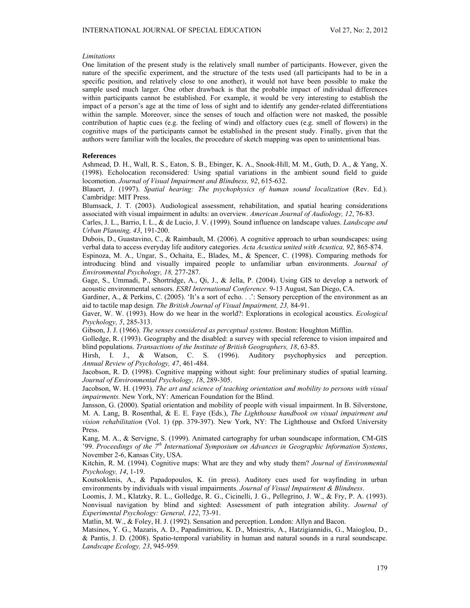#### *Limitations*

One limitation of the present study is the relatively small number of participants. However, given the nature of the specific experiment, and the structure of the tests used (all participants had to be in a specific position, and relatively close to one another), it would not have been possible to make the sample used much larger. One other drawback is that the probable impact of individual differences within participants cannot be established. For example, it would be very interesting to establish the impact of a person's age at the time of loss of sight and to identify any gender-related differentiations within the sample. Moreover, since the senses of touch and olfaction were not masked, the possible contribution of haptic cues (e.g. the feeling of wind) and olfactory cues (e.g. smell of flowers) in the cognitive maps of the participants cannot be established in the present study. Finally, given that the authors were familiar with the locales, the procedure of sketch mapping was open to unintentional bias.

# **References**

Ashmead, D. H., Wall, R. S., Eaton, S. B., Ebinger, K. A., Snook-Hill, M. M., Guth, D. A., & Yang, X. (1998). Echolocation reconsidered: Using spatial variations in the ambient sound field to guide locomotion. *Journal of Visual Impairment and Blindness, 92*, 615-632.

Blauert, J. (1997). *Spatial hearing: The psychophysics of human sound localization* (Rev. Ed.). Cambridge: MIT Press.

Blumsack, J. T. (2003). Audiological assessment, rehabilitation, and spatial hearing considerations associated with visual impairment in adults: an overview. *American Journal of Audiology, 12*, 76-83.

Carles, J. L., Barrio, I. L., & de Lucio, J. V. (1999). Sound influence on landscape values. *Landscape and Urban Planning, 43*, 191-200.

Dubois, D., Guastavino, C., & Raimbault, M. (2006). A cognitive approach to urban soundscapes: using verbal data to access everyday life auditory categories. *Acta Acustica united with Acustica, 92*, 865-874.

Espinoza, M. A., Ungar, S., Ochaita, E., Blades, M., & Spencer, C. (1998). Comparing methods for introducing blind and visually impaired people to unfamiliar urban environments. *Journal of Environmental Psychology, 18,* 277-287.

Gage, S., Ummadi, P., Shortridge, A., Qi, J., & Jella, P. (2004). Using GIS to develop a network of acoustic environmental sensors. *ESRI International Conference*. 9-13 August, San Diego, CA.

Gardiner, A., & Perkins, C. (2005). 'It's a sort of echo. . .': Sensory perception of the environment as an aid to tactile map design*. The British Journal of Visual Impairment, 23,* 84-91.

Gaver, W. W. (1993). How do we hear in the world?: Explorations in ecological acoustics. *Ecological Psychology, 5*, 285-313.

Gibson, J. J. (1966). *The senses considered as perceptual systems*. Boston: Houghton Mifflin.

Golledge, R. (1993). Geography and the disabled: a survey with special reference to vision impaired and blind populations. *Transactions of the Institute of British Geographers, 18*, 63-85.

Hirsh, I. J., & Watson, C. S. (1996). Auditory psychophysics and perception. *Annual Review of Psychology, 47*, 461-484.

Jacobson, R. D. (1998). Cognitive mapping without sight: four preliminary studies of spatial learning. *Journal of Environmental Psychology, 18*, 289-305.

Jacobson, W. H. (1993). *The art and science of teaching orientation and mobility to persons with visual impairments.* New York, NY: American Foundation for the Blind.

Jansson, G. (2000). Spatial orientation and mobility of people with visual impairment. In B. Silverstone, M. A. Lang, B. Rosenthal, & E. E. Faye (Eds.), *The Lighthouse handbook on visual impairment and vision rehabilitation* (Vol. 1) (pp. 379-397). New York, NY: The Lighthouse and Oxford University Press.

Kang, M. A., & Servigne, S. (1999). Animated cartography for urban soundscape information, CM-GIS '99. *Proceedings of the 7th International Symposium on Advances in Geographic Information Systems*, November 2-6, Kansas City, USA.

Kitchin, R. M. (1994). Cognitive maps: What are they and why study them? *Journal of Environmental Psychology, 14*, 1-19.

Koutsoklenis, A., & Papadopoulos, K. (in press). Auditory cues used for wayfinding in urban environments by individuals with visual impairments. *Journal of Visual Impairment & Blindness*.

Loomis, J. M., Klatzky, R. L., Golledge, R. G., Cicinelli, J. G., Pellegrino, J. W., & Fry, P. A. (1993). Nonvisual navigation by blind and sighted: Assessment of path integration ability. *Journal of Experimental Psychology: General, 122*, 73-91.

Matlin, M. W., & Foley, H. J. (1992). Sensation and perception. London: Allyn and Bacon.

Matsinos, Y. G., Mazaris, A. D., Papadimitriou, K. D., Mniestris, A., Hatzigiannidis, G., Maioglou, D., & Pantis, J. D. (2008). Spatio-temporal variability in human and natural sounds in a rural soundscape. *Landscape Ecology, 23*, 945-959*.*